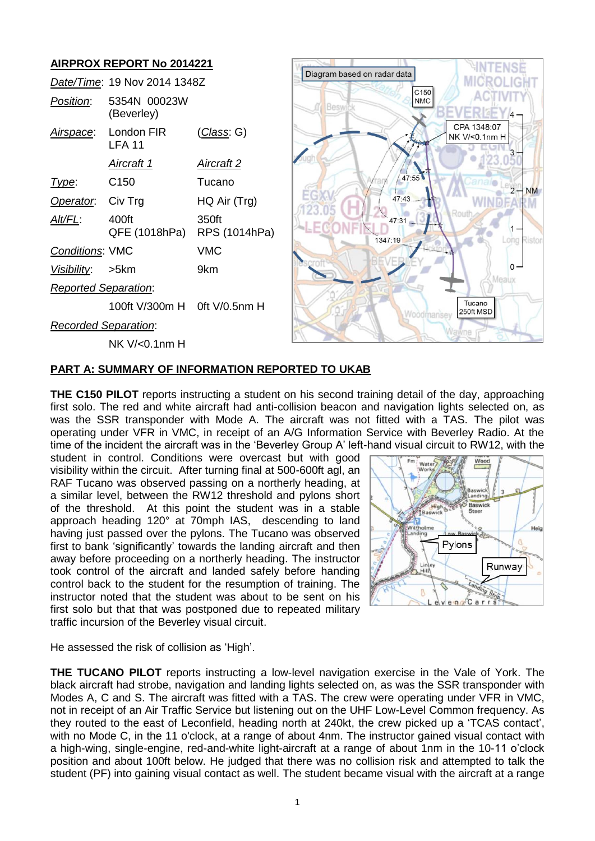# **AIRPROX REPORT No 2014221**

|                             | Date/Time: 19 Nov 2014 1348Z |                        |
|-----------------------------|------------------------------|------------------------|
| Position:                   | 5354N 00023W<br>(Beverley)   |                        |
| Airspace:                   | London FIR<br>LFA 11         | <u>(Class</u> : G)     |
|                             | Aircraft 1                   | Aircraft 2             |
| Type:                       | C <sub>150</sub>             | Tucano                 |
| Operator. Civ Trg           |                              | HQ Air (Trg)           |
| <u>Alt/FL:</u>              | 400ft<br>QFE (1018hPa)       | 350ft<br>RPS (1014hPa) |
| <b>Conditions: VMC</b>      |                              | <b>VMC</b>             |
| Visibility: >5km            |                              | 9km                    |
| <b>Reported Separation:</b> |                              |                        |
|                             | 100ft V/300m H 0ft V/0.5nm H |                        |
| <b>Recorded Separation:</b> |                              |                        |
|                             | NK V/<0.1nm H                |                        |



## **PART A: SUMMARY OF INFORMATION REPORTED TO UKAB**

**THE C150 PILOT** reports instructing a student on his second training detail of the day, approaching first solo. The red and white aircraft had anti-collision beacon and navigation lights selected on, as was the SSR transponder with Mode A. The aircraft was not fitted with a TAS. The pilot was operating under VFR in VMC, in receipt of an A/G Information Service with Beverley Radio. At the time of the incident the aircraft was in the 'Beverley Group A' left-hand visual circuit to RW12, with the

student in control. Conditions were overcast but with good visibility within the circuit. After turning final at 500-600ft agl, an RAF Tucano was observed passing on a northerly heading, at a similar level, between the RW12 threshold and pylons short of the threshold. At this point the student was in a stable approach heading 120° at 70mph IAS, descending to land having just passed over the pylons. The Tucano was observed first to bank 'significantly' towards the landing aircraft and then away before proceeding on a northerly heading. The instructor took control of the aircraft and landed safely before handing control back to the student for the resumption of training. The instructor noted that the student was about to be sent on his first solo but that that was postponed due to repeated military traffic incursion of the Beverley visual circuit.



He assessed the risk of collision as 'High'.

**THE TUCANO PILOT** reports instructing a low-level navigation exercise in the Vale of York. The black aircraft had strobe, navigation and landing lights selected on, as was the SSR transponder with Modes A, C and S. The aircraft was fitted with a TAS. The crew were operating under VFR in VMC, not in receipt of an Air Traffic Service but listening out on the UHF Low-Level Common frequency. As they routed to the east of Leconfield, heading north at 240kt, the crew picked up a 'TCAS contact', with no Mode C, in the 11 o'clock, at a range of about 4nm. The instructor gained visual contact with a high-wing, single-engine, red-and-white light-aircraft at a range of about 1nm in the 10-11 o'clock position and about 100ft below. He judged that there was no collision risk and attempted to talk the student (PF) into gaining visual contact as well. The student became visual with the aircraft at a range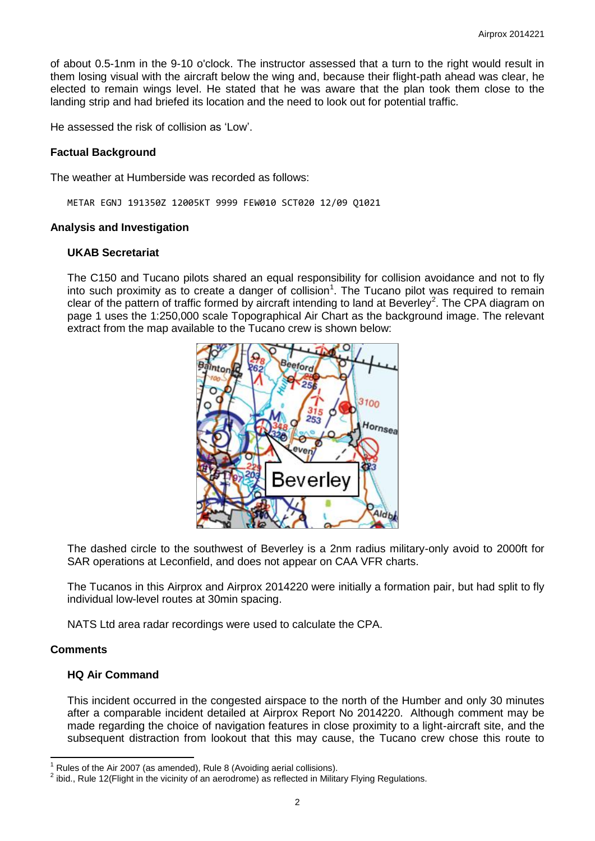of about 0.5-1nm in the 9-10 o'clock. The instructor assessed that a turn to the right would result in them losing visual with the aircraft below the wing and, because their flight-path ahead was clear, he elected to remain wings level. He stated that he was aware that the plan took them close to the landing strip and had briefed its location and the need to look out for potential traffic.

He assessed the risk of collision as 'Low'.

## **Factual Background**

The weather at Humberside was recorded as follows:

METAR EGNJ 191350Z 12005KT 9999 FEW010 SCT020 12/09 Q1021

## **Analysis and Investigation**

## **UKAB Secretariat**

The C150 and Tucano pilots shared an equal responsibility for collision avoidance and not to fly into such proximity as to create a danger of collision<sup>1</sup>. The Tucano pilot was required to remain clear of the pattern of traffic formed by aircraft intending to land at Beverley<sup>2</sup>. The CPA diagram on page 1 uses the 1:250,000 scale Topographical Air Chart as the background image. The relevant extract from the map available to the Tucano crew is shown below:



The dashed circle to the southwest of Beverley is a 2nm radius military-only avoid to 2000ft for SAR operations at Leconfield, and does not appear on CAA VFR charts.

The Tucanos in this Airprox and Airprox 2014220 were initially a formation pair, but had split to fly individual low-level routes at 30min spacing.

NATS Ltd area radar recordings were used to calculate the CPA.

## **Comments**

 $\overline{\phantom{a}}$ 

## **HQ Air Command**

This incident occurred in the congested airspace to the north of the Humber and only 30 minutes after a comparable incident detailed at Airprox Report No 2014220. Although comment may be made regarding the choice of navigation features in close proximity to a light-aircraft site, and the subsequent distraction from lookout that this may cause, the Tucano crew chose this route to

<sup>1</sup> Rules of the Air 2007 (as amended), Rule 8 (Avoiding aerial collisions).

 $^2$  ibid., Rule 12(Flight in the vicinity of an aerodrome) as reflected in Military Flying Regulations.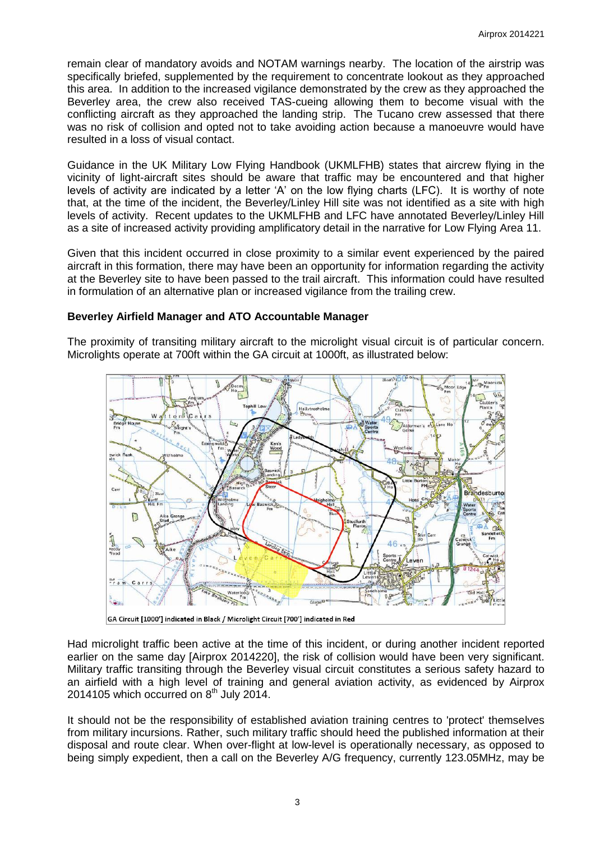remain clear of mandatory avoids and NOTAM warnings nearby. The location of the airstrip was specifically briefed, supplemented by the requirement to concentrate lookout as they approached this area. In addition to the increased vigilance demonstrated by the crew as they approached the Beverley area, the crew also received TAS-cueing allowing them to become visual with the conflicting aircraft as they approached the landing strip. The Tucano crew assessed that there was no risk of collision and opted not to take avoiding action because a manoeuvre would have resulted in a loss of visual contact.

Guidance in the UK Military Low Flying Handbook (UKMLFHB) states that aircrew flying in the vicinity of light-aircraft sites should be aware that traffic may be encountered and that higher levels of activity are indicated by a letter 'A' on the low flying charts (LFC). It is worthy of note that, at the time of the incident, the Beverley/Linley Hill site was not identified as a site with high levels of activity. Recent updates to the UKMLFHB and LFC have annotated Beverley/Linley Hill as a site of increased activity providing amplificatory detail in the narrative for Low Flying Area 11.

Given that this incident occurred in close proximity to a similar event experienced by the paired aircraft in this formation, there may have been an opportunity for information regarding the activity at the Beverley site to have been passed to the trail aircraft. This information could have resulted in formulation of an alternative plan or increased vigilance from the trailing crew.

# **Beverley Airfield Manager and ATO Accountable Manager**

The proximity of transiting military aircraft to the microlight visual circuit is of particular concern. Microlights operate at 700ft within the GA circuit at 1000ft, as illustrated below:



GA Circuit [1000'] indicated in Black / Microlight Circuit [700'] indicated in Red

Had microlight traffic been active at the time of this incident, or during another incident reported earlier on the same day [Airprox 2014220], the risk of collision would have been very significant. Military traffic transiting through the Beverley visual circuit constitutes a serious safety hazard to an airfield with a high level of training and general aviation activity, as evidenced by Airprox 2014105 which occurred on  $8<sup>th</sup>$  July 2014.

It should not be the responsibility of established aviation training centres to 'protect' themselves from military incursions. Rather, such military traffic should heed the published information at their disposal and route clear. When over-flight at low-level is operationally necessary, as opposed to being simply expedient, then a call on the Beverley A/G frequency, currently 123.05MHz, may be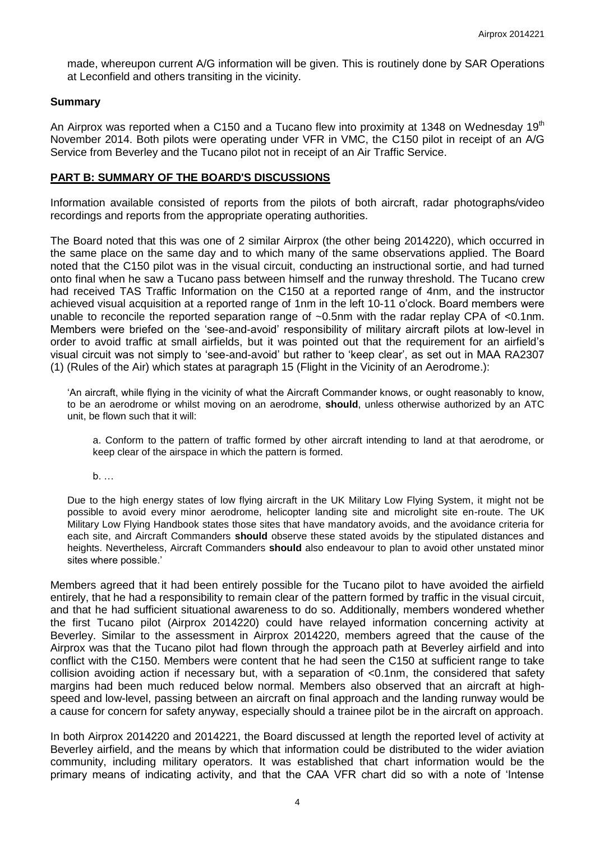made, whereupon current A/G information will be given. This is routinely done by SAR Operations at Leconfield and others transiting in the vicinity.

#### **Summary**

An Airprox was reported when a C150 and a Tucano flew into proximity at 1348 on Wednesday 19<sup>th</sup> November 2014. Both pilots were operating under VFR in VMC, the C150 pilot in receipt of an A/G Service from Beverley and the Tucano pilot not in receipt of an Air Traffic Service.

#### **PART B: SUMMARY OF THE BOARD'S DISCUSSIONS**

Information available consisted of reports from the pilots of both aircraft, radar photographs/video recordings and reports from the appropriate operating authorities.

The Board noted that this was one of 2 similar Airprox (the other being 2014220), which occurred in the same place on the same day and to which many of the same observations applied. The Board noted that the C150 pilot was in the visual circuit, conducting an instructional sortie, and had turned onto final when he saw a Tucano pass between himself and the runway threshold. The Tucano crew had received TAS Traffic Information on the C150 at a reported range of 4nm, and the instructor achieved visual acquisition at a reported range of 1nm in the left 10-11 o'clock. Board members were unable to reconcile the reported separation range of ~0.5nm with the radar replay CPA of <0.1nm. Members were briefed on the 'see-and-avoid' responsibility of military aircraft pilots at low-level in order to avoid traffic at small airfields, but it was pointed out that the requirement for an airfield's visual circuit was not simply to 'see-and-avoid' but rather to 'keep clear', as set out in MAA RA2307 (1) (Rules of the Air) which states at paragraph 15 (Flight in the Vicinity of an Aerodrome.):

'An aircraft, while flying in the vicinity of what the Aircraft Commander knows, or ought reasonably to know, to be an aerodrome or whilst moving on an aerodrome, **should**, unless otherwise authorized by an ATC unit, be flown such that it will:

a. Conform to the pattern of traffic formed by other aircraft intending to land at that aerodrome, or keep clear of the airspace in which the pattern is formed.

b. …

Due to the high energy states of low flying aircraft in the UK Military Low Flying System, it might not be possible to avoid every minor aerodrome, helicopter landing site and microlight site en-route. The UK Military Low Flying Handbook states those sites that have mandatory avoids, and the avoidance criteria for each site, and Aircraft Commanders **should** observe these stated avoids by the stipulated distances and heights. Nevertheless, Aircraft Commanders **should** also endeavour to plan to avoid other unstated minor sites where possible.'

Members agreed that it had been entirely possible for the Tucano pilot to have avoided the airfield entirely, that he had a responsibility to remain clear of the pattern formed by traffic in the visual circuit, and that he had sufficient situational awareness to do so. Additionally, members wondered whether the first Tucano pilot (Airprox 2014220) could have relayed information concerning activity at Beverley. Similar to the assessment in Airprox 2014220, members agreed that the cause of the Airprox was that the Tucano pilot had flown through the approach path at Beverley airfield and into conflict with the C150. Members were content that he had seen the C150 at sufficient range to take collision avoiding action if necessary but, with a separation of <0.1nm, the considered that safety margins had been much reduced below normal. Members also observed that an aircraft at highspeed and low-level, passing between an aircraft on final approach and the landing runway would be a cause for concern for safety anyway, especially should a trainee pilot be in the aircraft on approach.

In both Airprox 2014220 and 2014221, the Board discussed at length the reported level of activity at Beverley airfield, and the means by which that information could be distributed to the wider aviation community, including military operators. It was established that chart information would be the primary means of indicating activity, and that the CAA VFR chart did so with a note of 'Intense